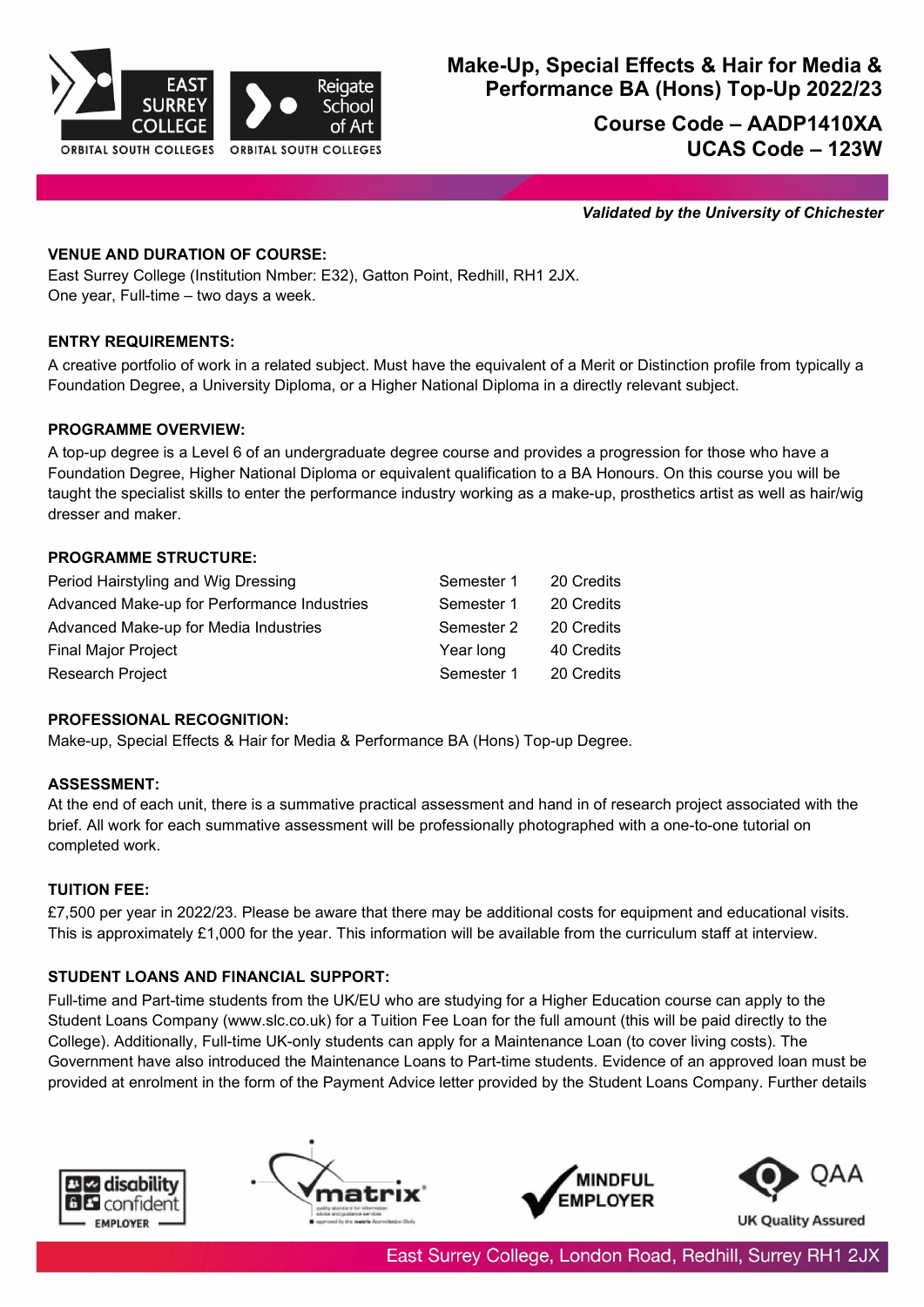

# **Make-Up, Special Effects & Hair for Media & Performance BA (Hons) Top-Up 2022/23**

**Course Code – AADP1410XA UCAS Code – 123W** 

*Validated by the University of Chichester*

## **VENUE AND DURATION OF COURSE:**

East Surrey College (Institution Nmber: E32), Gatton Point, Redhill, RH1 2JX. One year, Full-time – two days a week.

## **ENTRY REQUIREMENTS:**

A creative portfolio of work in a related subject. Must have the equivalent of a Merit or Distinction profile from typically a Foundation Degree, a University Diploma, or a Higher National Diploma in a directly relevant subject.

## **PROGRAMME OVERVIEW:**

A top-up degree is a Level 6 of an undergraduate degree course and provides a progression for those who have a Foundation Degree, Higher National Diploma or equivalent qualification to a BA Honours. On this course you will be taught the specialist skills to enter the performance industry working as a make-up, prosthetics artist as well as hair/wig dresser and maker.

## **PROGRAMME STRUCTURE:**

| Period Hairstyling and Wig Dressing         | Semester 1 | 20 Credits |
|---------------------------------------------|------------|------------|
| Advanced Make-up for Performance Industries | Semester 1 | 20 Credits |
| Advanced Make-up for Media Industries       | Semester 2 | 20 Credits |
| <b>Final Major Project</b>                  | Year long  | 40 Credits |
| <b>Research Project</b>                     | Semester 1 | 20 Credits |

## **PROFESSIONAL RECOGNITION:**

Make-up, Special Effects & Hair for Media & Performance BA (Hons) Top-up Degree.

# **ASSESSMENT:**

At the end of each unit, there is a summative practical assessment and hand in of research project associated with the brief. All work for each summative assessment will be professionally photographed with a one-to-one tutorial on completed work.

# **TUITION FEE:**

£7,500 per year in 2022/23. Please be aware that there may be additional costs for equipment and educational visits. This is approximately £1,000 for the year. This information will be available from the curriculum staff at interview.

## **STUDENT LOANS AND FINANCIAL SUPPORT:**

Full-time and Part-time students from the UK/EU who are studying for a Higher Education course can apply to the Student Loans Company (www.slc.co.uk) for a Tuition Fee Loan for the full amount (this will be paid directly to the College). Additionally, Full-time UK-only students can apply for a Maintenance Loan (to cover living costs). The Government have also introduced the Maintenance Loans to Part-time students. Evidence of an approved loan must be provided at enrolment in the form of the Payment Advice letter provided by the Student Loans Company. Further details